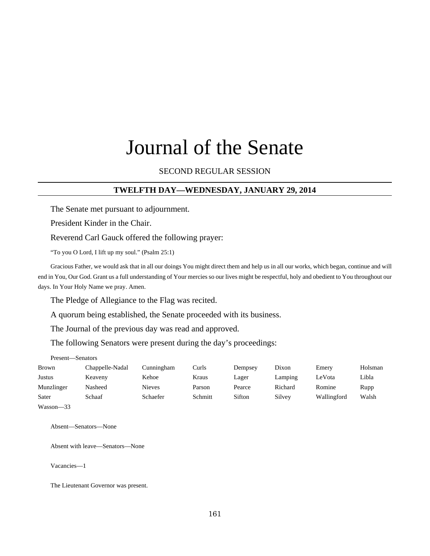# Journal of the Senate

# SECOND REGULAR SESSION

### **TWELFTH DAY—WEDNESDAY, JANUARY 29, 2014**

The Senate met pursuant to adjournment.

President Kinder in the Chair.

Reverend Carl Gauck offered the following prayer:

"To you O Lord, I lift up my soul." (Psalm 25:1)

Gracious Father, we would ask that in all our doings You might direct them and help us in all our works, which began, continue and will end in You, Our God. Grant us a full understanding of Your mercies so our lives might be respectful, holy and obedient to You throughout our days. In Your Holy Name we pray. Amen.

The Pledge of Allegiance to the Flag was recited.

A quorum being established, the Senate proceeded with its business.

The Journal of the previous day was read and approved.

The following Senators were present during the day's proceedings:

Present—Senators

| <b>Brown</b>  | Chappelle-Nadal | Cunningham    | Curls   | Dempsey | Dixon   | Emery       | Holsman |
|---------------|-----------------|---------------|---------|---------|---------|-------------|---------|
| Justus        | Keaveny         | Kehoe         | Kraus   | Lager   | Lamping | LeVota      | Libla   |
| Munzlinger    | Nasheed         | <b>Nieves</b> | Parson  | Pearce  | Richard | Romine      | Rupp    |
| Sater         | Schaaf          | Schaefer      | Schmitt | Sifton  | Silvey  | Wallingford | Walsh   |
| $Wasson - 33$ |                 |               |         |         |         |             |         |

Absent—Senators—None

Absent with leave—Senators—None

Vacancies—1

The Lieutenant Governor was present.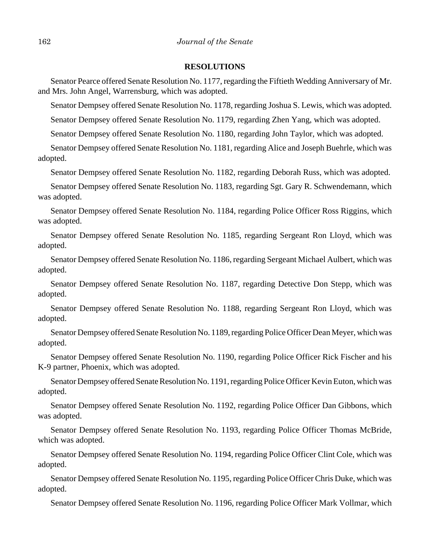#### **RESOLUTIONS**

Senator Pearce offered Senate Resolution No. 1177, regarding the Fiftieth Wedding Anniversary of Mr. and Mrs. John Angel, Warrensburg, which was adopted.

Senator Dempsey offered Senate Resolution No. 1178, regarding Joshua S. Lewis, which was adopted.

Senator Dempsey offered Senate Resolution No. 1179, regarding Zhen Yang, which was adopted.

Senator Dempsey offered Senate Resolution No. 1180, regarding John Taylor, which was adopted.

Senator Dempsey offered Senate Resolution No. 1181, regarding Alice and Joseph Buehrle, which was adopted.

Senator Dempsey offered Senate Resolution No. 1182, regarding Deborah Russ, which was adopted.

Senator Dempsey offered Senate Resolution No. 1183, regarding Sgt. Gary R. Schwendemann, which was adopted.

Senator Dempsey offered Senate Resolution No. 1184, regarding Police Officer Ross Riggins, which was adopted.

Senator Dempsey offered Senate Resolution No. 1185, regarding Sergeant Ron Lloyd, which was adopted.

Senator Dempsey offered Senate Resolution No. 1186, regarding Sergeant Michael Aulbert, which was adopted.

Senator Dempsey offered Senate Resolution No. 1187, regarding Detective Don Stepp, which was adopted.

Senator Dempsey offered Senate Resolution No. 1188, regarding Sergeant Ron Lloyd, which was adopted.

Senator Dempsey offered Senate Resolution No. 1189, regarding Police Officer Dean Meyer, which was adopted.

Senator Dempsey offered Senate Resolution No. 1190, regarding Police Officer Rick Fischer and his K-9 partner, Phoenix, which was adopted.

Senator Dempsey offered Senate Resolution No. 1191, regarding Police Officer Kevin Euton, which was adopted.

Senator Dempsey offered Senate Resolution No. 1192, regarding Police Officer Dan Gibbons, which was adopted.

Senator Dempsey offered Senate Resolution No. 1193, regarding Police Officer Thomas McBride, which was adopted.

Senator Dempsey offered Senate Resolution No. 1194, regarding Police Officer Clint Cole, which was adopted.

Senator Dempsey offered Senate Resolution No. 1195, regarding Police Officer Chris Duke, which was adopted.

Senator Dempsey offered Senate Resolution No. 1196, regarding Police Officer Mark Vollmar, which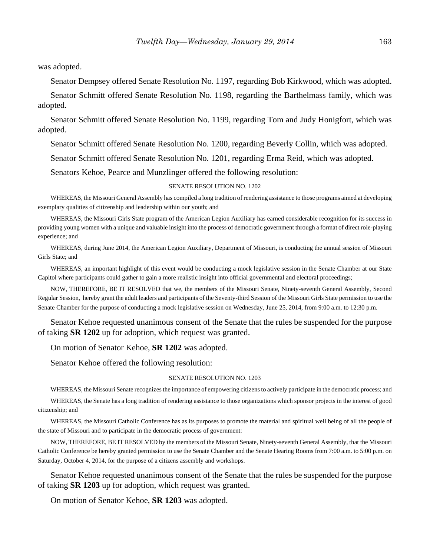was adopted.

Senator Dempsey offered Senate Resolution No. 1197, regarding Bob Kirkwood, which was adopted.

Senator Schmitt offered Senate Resolution No. 1198, regarding the Barthelmass family, which was adopted.

Senator Schmitt offered Senate Resolution No. 1199, regarding Tom and Judy Honigfort, which was adopted.

Senator Schmitt offered Senate Resolution No. 1200, regarding Beverly Collin, which was adopted.

Senator Schmitt offered Senate Resolution No. 1201, regarding Erma Reid, which was adopted.

Senators Kehoe, Pearce and Munzlinger offered the following resolution:

#### SENATE RESOLUTION NO. 1202

WHEREAS, the Missouri General Assembly has compiled a long tradition of rendering assistance to those programs aimed at developing exemplary qualities of citizenship and leadership within our youth; and

WHEREAS, the Missouri Girls State program of the American Legion Auxiliary has earned considerable recognition for its success in providing young women with a unique and valuable insight into the process of democratic government through a format of direct role-playing experience; and

WHEREAS, during June 2014, the American Legion Auxiliary, Department of Missouri, is conducting the annual session of Missouri Girls State; and

WHEREAS, an important highlight of this event would be conducting a mock legislative session in the Senate Chamber at our State Capitol where participants could gather to gain a more realistic insight into official governmental and electoral proceedings;

NOW, THEREFORE, BE IT RESOLVED that we, the members of the Missouri Senate, Ninety-seventh General Assembly, Second Regular Session, hereby grant the adult leaders and participants of the Seventy-third Session of the Missouri Girls State permission to use the Senate Chamber for the purpose of conducting a mock legislative session on Wednesday, June 25, 2014, from 9:00 a.m. to 12:30 p.m.

Senator Kehoe requested unanimous consent of the Senate that the rules be suspended for the purpose of taking **SR 1202** up for adoption, which request was granted.

On motion of Senator Kehoe, **SR 1202** was adopted.

Senator Kehoe offered the following resolution:

#### SENATE RESOLUTION NO. 1203

WHEREAS, the Missouri Senate recognizes the importance of empowering citizens to actively participate in the democratic process; and

WHEREAS, the Senate has a long tradition of rendering assistance to those organizations which sponsor projects in the interest of good citizenship; and

WHEREAS, the Missouri Catholic Conference has as its purposes to promote the material and spiritual well being of all the people of the state of Missouri and to participate in the democratic process of government:

NOW, THEREFORE, BE IT RESOLVED by the members of the Missouri Senate, Ninety-seventh General Assembly, that the Missouri Catholic Conference be hereby granted permission to use the Senate Chamber and the Senate Hearing Rooms from 7:00 a.m. to 5:00 p.m. on Saturday, October 4, 2014, for the purpose of a citizens assembly and workshops.

Senator Kehoe requested unanimous consent of the Senate that the rules be suspended for the purpose of taking **SR 1203** up for adoption, which request was granted.

On motion of Senator Kehoe, **SR 1203** was adopted.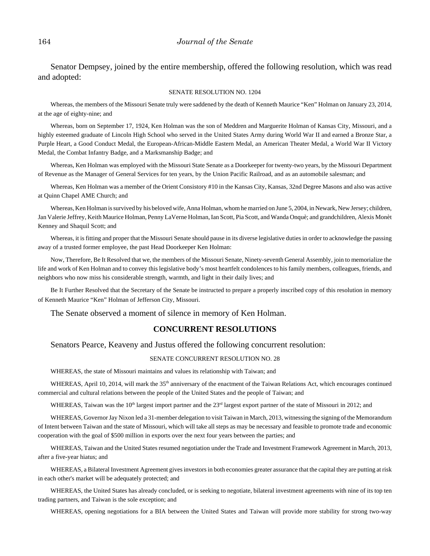Senator Dempsey, joined by the entire membership, offered the following resolution, which was read and adopted:

#### SENATE RESOLUTION NO. 1204

Whereas, the members of the Missouri Senate truly were saddened by the death of Kenneth Maurice "Ken" Holman on January 23, 2014, at the age of eighty-nine; and

Whereas, born on September 17, 1924, Ken Holman was the son of Meddren and Marguerite Holman of Kansas City, Missouri, and a highly esteemed graduate of Lincoln High School who served in the United States Army during World War II and earned a Bronze Star, a Purple Heart, a Good Conduct Medal, the European-African-Middle Eastern Medal, an American Theater Medal, a World War II Victory Medal, the Combat Infantry Badge, and a Marksmanship Badge; and

Whereas, Ken Holman was employed with the Missouri State Senate as a Doorkeeper for twenty-two years, by the Missouri Department of Revenue as the Manager of General Services for ten years, by the Union Pacific Railroad, and as an automobile salesman; and

Whereas, Ken Holman was a member of the Orient Consistory #10 in the Kansas City, Kansas, 32nd Degree Masons and also was active at Quinn Chapel AME Church; and

Whereas, Ken Holman is survived by his beloved wife, Anna Holman, whom he married on June 5, 2004, in Newark, New Jersey; children, Jan Valerie Jeffrey, Keith Maurice Holman, Penny LaVerne Holman, Ian Scott, Pia Scott, and Wanda Onquè; and grandchildren, Alexis Monèt Kenney and Shaquil Scott; and

Whereas, it is fitting and proper that the Missouri Senate should pause in its diverse legislative duties in order to acknowledge the passing away of a trusted former employee, the past Head Doorkeeper Ken Holman:

Now, Therefore, Be It Resolved that we, the members of the Missouri Senate, Ninety-seventh General Assembly, join to memorialize the life and work of Ken Holman and to convey this legislative body's most heartfelt condolences to his family members, colleagues, friends, and neighbors who now miss his considerable strength, warmth, and light in their daily lives; and

Be It Further Resolved that the Secretary of the Senate be instructed to prepare a properly inscribed copy of this resolution in memory of Kenneth Maurice "Ken" Holman of Jefferson City, Missouri.

The Senate observed a moment of silence in memory of Ken Holman.

# **CONCURRENT RESOLUTIONS**

Senators Pearce, Keaveny and Justus offered the following concurrent resolution:

#### SENATE CONCURRENT RESOLUTION NO. 28

WHEREAS, the state of Missouri maintains and values its relationship with Taiwan; and

WHEREAS, April 10, 2014, will mark the 35<sup>th</sup> anniversary of the enactment of the Taiwan Relations Act, which encourages continued commercial and cultural relations between the people of the United States and the people of Taiwan; and

WHEREAS, Taiwan was the 10<sup>th</sup> largest import partner and the 23<sup>rd</sup> largest export partner of the state of Missouri in 2012; and

WHEREAS, Governor Jay Nixon led a 31-member delegation to visit Taiwan in March, 2013, witnessing the signing of the Memorandum of Intent between Taiwan and the state of Missouri, which will take all steps as may be necessary and feasible to promote trade and economic cooperation with the goal of \$500 million in exports over the next four years between the parties; and

WHEREAS, Taiwan and the United States resumed negotiation under the Trade and Investment Framework Agreement in March, 2013, after a five-year hiatus; and

WHEREAS, a Bilateral Investment Agreement gives investors in both economies greater assurance that the capital they are putting at risk in each other's market will be adequately protected; and

WHEREAS, the United States has already concluded, or is seeking to negotiate, bilateral investment agreements with nine of its top ten trading partners, and Taiwan is the sole exception; and

WHEREAS, opening negotiations for a BIA between the United States and Taiwan will provide more stability for strong two-way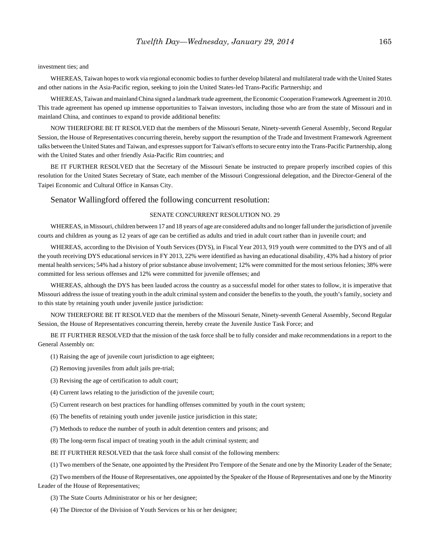#### investment ties; and

WHEREAS, Taiwan hopes to work via regional economic bodies to further develop bilateral and multilateral trade with the United States and other nations in the Asia-Pacific region, seeking to join the United States-led Trans-Pacific Partnership; and

WHEREAS, Taiwan and mainland China signed a landmark trade agreement, the Economic Cooperation Framework Agreement in 2010. This trade agreement has opened up immense opportunities to Taiwan investors, including those who are from the state of Missouri and in mainland China, and continues to expand to provide additional benefits:

NOW THEREFORE BE IT RESOLVED that the members of the Missouri Senate, Ninety-seventh General Assembly, Second Regular Session, the House of Representatives concurring therein, hereby support the resumption of the Trade and Investment Framework Agreement talks between the United States and Taiwan, and expresses support for Taiwan's efforts to secure entry into the Trans-Pacific Partnership, along with the United States and other friendly Asia-Pacific Rim countries; and

BE IT FURTHER RESOLVED that the Secretary of the Missouri Senate be instructed to prepare properly inscribed copies of this resolution for the United States Secretary of State, each member of the Missouri Congressional delegation, and the Director-General of the Taipei Economic and Cultural Office in Kansas City.

#### Senator Wallingford offered the following concurrent resolution:

#### SENATE CONCURRENT RESOLUTION NO. 29

WHEREAS, in Missouri, children between 17 and 18 years of age are considered adults and no longer fall under the jurisdiction of juvenile courts and children as young as 12 years of age can be certified as adults and tried in adult court rather than in juvenile court; and

WHEREAS, according to the Division of Youth Services (DYS), in Fiscal Year 2013, 919 youth were committed to the DYS and of all the youth receiving DYS educational services in FY 2013, 22% were identified as having an educational disability, 43% had a history of prior mental health services; 54% had a history of prior substance abuse involvement; 12% were committed for the most serious felonies; 38% were committed for less serious offenses and 12% were committed for juvenile offenses; and

WHEREAS, although the DYS has been lauded across the country as a successful model for other states to follow, it is imperative that Missouri address the issue of treating youth in the adult criminal system and consider the benefits to the youth, the youth's family, society and to this state by retaining youth under juvenile justice jurisdiction:

NOW THEREFORE BE IT RESOLVED that the members of the Missouri Senate, Ninety-seventh General Assembly, Second Regular Session, the House of Representatives concurring therein, hereby create the Juvenile Justice Task Force; and

BE IT FURTHER RESOLVED that the mission of the task force shall be to fully consider and make recommendations in a report to the General Assembly on:

- (1) Raising the age of juvenile court jurisdiction to age eighteen;
- (2) Removing juveniles from adult jails pre-trial;
- (3) Revising the age of certification to adult court;
- (4) Current laws relating to the jurisdiction of the juvenile court;
- (5) Current research on best practices for handling offenses committed by youth in the court system;
- (6) The benefits of retaining youth under juvenile justice jurisdiction in this state;
- (7) Methods to reduce the number of youth in adult detention centers and prisons; and
- (8) The long-term fiscal impact of treating youth in the adult criminal system; and

BE IT FURTHER RESOLVED that the task force shall consist of the following members:

(1) Two members of the Senate, one appointed by the President Pro Tempore of the Senate and one by the Minority Leader of the Senate;

(2) Two members of the House of Representatives, one appointed by the Speaker of the House of Representatives and one by the Minority Leader of the House of Representatives;

(3) The State Courts Administrator or his or her designee;

(4) The Director of the Division of Youth Services or his or her designee;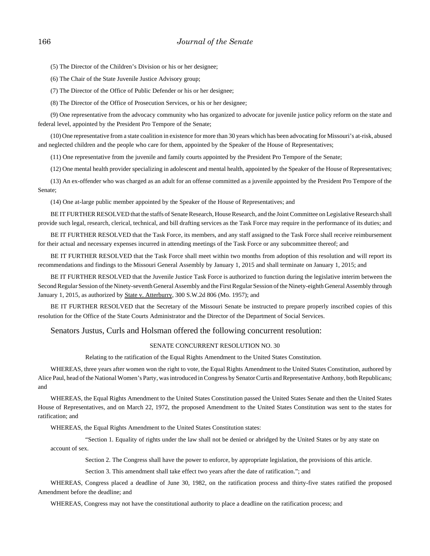(5) The Director of the Children's Division or his or her designee;

(6) The Chair of the State Juvenile Justice Advisory group;

(7) The Director of the Office of Public Defender or his or her designee;

(8) The Director of the Office of Prosecution Services, or his or her designee;

(9) One representative from the advocacy community who has organized to advocate for juvenile justice policy reform on the state and federal level, appointed by the President Pro Tempore of the Senate;

(10) One representative from a state coalition in existence for more than 30 years which has been advocating for Missouri's at-risk, abused and neglected children and the people who care for them, appointed by the Speaker of the House of Representatives;

(11) One representative from the juvenile and family courts appointed by the President Pro Tempore of the Senate;

(12) One mental health provider specializing in adolescent and mental health, appointed by the Speaker of the House of Representatives;

(13) An ex-offender who was charged as an adult for an offense committed as a juvenile appointed by the President Pro Tempore of the Senate;

(14) One at-large public member appointed by the Speaker of the House of Representatives; and

BE IT FURTHER RESOLVED that the staffs of Senate Research, House Research, and the Joint Committee on Legislative Research shall provide such legal, research, clerical, technical, and bill drafting services as the Task Force may require in the performance of its duties; and

BE IT FURTHER RESOLVED that the Task Force, its members, and any staff assigned to the Task Force shall receive reimbursement for their actual and necessary expenses incurred in attending meetings of the Task Force or any subcommittee thereof; and

BE IT FURTHER RESOLVED that the Task Force shall meet within two months from adoption of this resolution and will report its recommendations and findings to the Missouri General Assembly by January 1, 2015 and shall terminate on January 1, 2015; and

BE IT FURTHER RESOLVED that the Juvenile Justice Task Force is authorized to function during the legislative interim between the Second Regular Session of the Ninety-seventh General Assembly and the First Regular Session of the Ninety-eighth General Assembly through January 1, 2015, as authorized by State v. Atterburry, 300 S.W.2d 806 (Mo. 1957); and

BE IT FURTHER RESOLVED that the Secretary of the Missouri Senate be instructed to prepare properly inscribed copies of this resolution for the Office of the State Courts Administrator and the Director of the Department of Social Services.

#### Senators Justus, Curls and Holsman offered the following concurrent resolution:

#### SENATE CONCURRENT RESOLUTION NO. 30

Relating to the ratification of the Equal Rights Amendment to the United States Constitution.

WHEREAS, three years after women won the right to vote, the Equal Rights Amendment to the United States Constitution, authored by Alice Paul, head of the National Women's Party, was introduced in Congress by Senator Curtis and Representative Anthony, both Republicans; and

WHEREAS, the Equal Rights Amendment to the United States Constitution passed the United States Senate and then the United States House of Representatives, and on March 22, 1972, the proposed Amendment to the United States Constitution was sent to the states for ratification; and

WHEREAS, the Equal Rights Amendment to the United States Constitution states:

"Section 1. Equality of rights under the law shall not be denied or abridged by the United States or by any state on account of sex.

Section 2. The Congress shall have the power to enforce, by appropriate legislation, the provisions of this article.

Section 3. This amendment shall take effect two years after the date of ratification."; and

WHEREAS, Congress placed a deadline of June 30, 1982, on the ratification process and thirty-five states ratified the proposed Amendment before the deadline; and

WHEREAS, Congress may not have the constitutional authority to place a deadline on the ratification process; and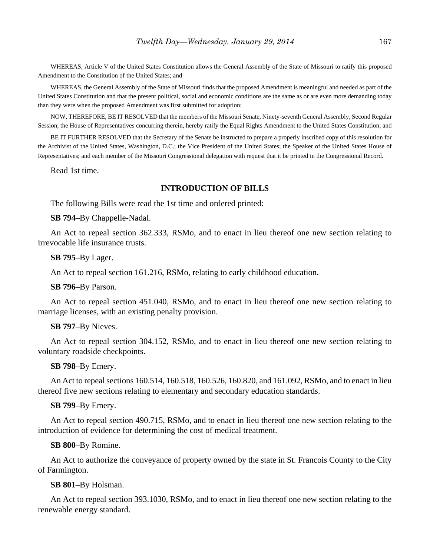WHEREAS, Article V of the United States Constitution allows the General Assembly of the State of Missouri to ratify this proposed Amendment to the Constitution of the United States; and

WHEREAS, the General Assembly of the State of Missouri finds that the proposed Amendment is meaningful and needed as part of the United States Constitution and that the present political, social and economic conditions are the same as or are even more demanding today than they were when the proposed Amendment was first submitted for adoption:

NOW, THEREFORE, BE IT RESOLVED that the members of the Missouri Senate, Ninety-seventh General Assembly, Second Regular Session, the House of Representatives concurring therein, hereby ratify the Equal Rights Amendment to the United States Constitution; and

BE IT FURTHER RESOLVED that the Secretary of the Senate be instructed to prepare a properly inscribed copy of this resolution for the Archivist of the United States, Washington, D.C.; the Vice President of the United States; the Speaker of the United States House of Representatives; and each member of the Missouri Congressional delegation with request that it be printed in the Congressional Record.

Read 1st time.

### **INTRODUCTION OF BILLS**

The following Bills were read the 1st time and ordered printed:

**SB 794**–By Chappelle-Nadal.

An Act to repeal section 362.333, RSMo, and to enact in lieu thereof one new section relating to irrevocable life insurance trusts.

#### **SB 795**–By Lager.

An Act to repeal section 161.216, RSMo, relating to early childhood education.

#### **SB 796**–By Parson.

An Act to repeal section 451.040, RSMo, and to enact in lieu thereof one new section relating to marriage licenses, with an existing penalty provision.

#### **SB 797**–By Nieves.

An Act to repeal section 304.152, RSMo, and to enact in lieu thereof one new section relating to voluntary roadside checkpoints.

## **SB 798**–By Emery.

An Act to repeal sections 160.514, 160.518, 160.526, 160.820, and 161.092, RSMo, and to enact in lieu thereof five new sections relating to elementary and secondary education standards.

### **SB 799**–By Emery.

An Act to repeal section 490.715, RSMo, and to enact in lieu thereof one new section relating to the introduction of evidence for determining the cost of medical treatment.

#### **SB 800**–By Romine.

An Act to authorize the conveyance of property owned by the state in St. Francois County to the City of Farmington.

#### **SB 801**–By Holsman.

An Act to repeal section 393.1030, RSMo, and to enact in lieu thereof one new section relating to the renewable energy standard.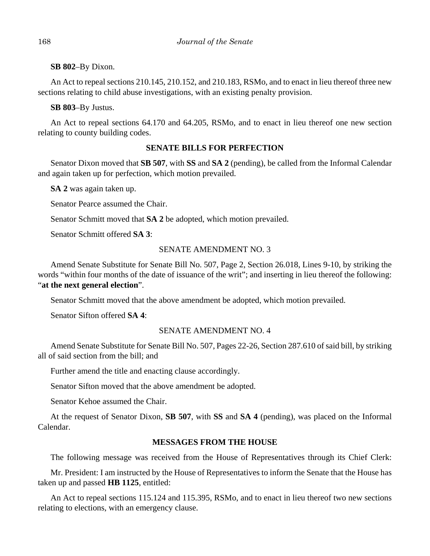# **SB 802**–By Dixon.

An Act to repeal sections 210.145, 210.152, and 210.183, RSMo, and to enact in lieu thereof three new sections relating to child abuse investigations, with an existing penalty provision.

# **SB 803**–By Justus.

An Act to repeal sections 64.170 and 64.205, RSMo, and to enact in lieu thereof one new section relating to county building codes.

# **SENATE BILLS FOR PERFECTION**

Senator Dixon moved that **SB 507**, with **SS** and **SA 2** (pending), be called from the Informal Calendar and again taken up for perfection, which motion prevailed.

**SA 2** was again taken up.

Senator Pearce assumed the Chair.

Senator Schmitt moved that **SA 2** be adopted, which motion prevailed.

Senator Schmitt offered **SA 3**:

# SENATE AMENDMENT NO. 3

Amend Senate Substitute for Senate Bill No. 507, Page 2, Section 26.018, Lines 9-10, by striking the words "within four months of the date of issuance of the writ"; and inserting in lieu thereof the following: "**at the next general election**".

Senator Schmitt moved that the above amendment be adopted, which motion prevailed.

Senator Sifton offered **SA 4**:

# SENATE AMENDMENT NO. 4

Amend Senate Substitute for Senate Bill No. 507, Pages 22-26, Section 287.610 of said bill, by striking all of said section from the bill; and

Further amend the title and enacting clause accordingly.

Senator Sifton moved that the above amendment be adopted.

Senator Kehoe assumed the Chair.

At the request of Senator Dixon, **SB 507**, with **SS** and **SA 4** (pending), was placed on the Informal Calendar.

# **MESSAGES FROM THE HOUSE**

The following message was received from the House of Representatives through its Chief Clerk:

Mr. President: I am instructed by the House of Representatives to inform the Senate that the House has taken up and passed **HB 1125**, entitled:

An Act to repeal sections 115.124 and 115.395, RSMo, and to enact in lieu thereof two new sections relating to elections, with an emergency clause.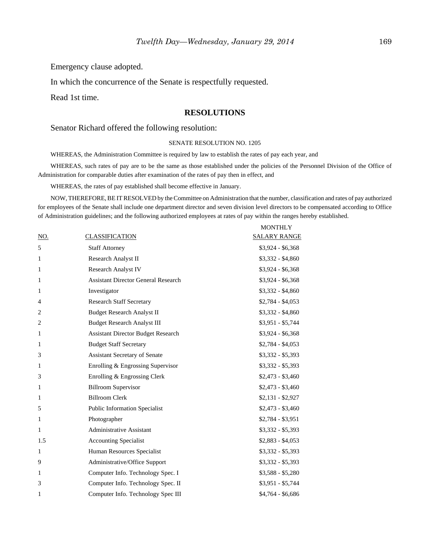Emergency clause adopted.

In which the concurrence of the Senate is respectfully requested.

Read 1st time.

## **RESOLUTIONS**

Senator Richard offered the following resolution:

#### SENATE RESOLUTION NO. 1205

WHEREAS, the Administration Committee is required by law to establish the rates of pay each year, and

WHEREAS, such rates of pay are to be the same as those established under the policies of the Personnel Division of the Office of Administration for comparable duties after examination of the rates of pay then in effect, and

WHEREAS, the rates of pay established shall become effective in January.

NOW, THEREFORE, BE IT RESOLVED by the Committee on Administration that the number, classification and rates of pay authorized for employees of the Senate shall include one department director and seven division level directors to be compensated according to Office of Administration guidelines; and the following authorized employees at rates of pay within the ranges hereby established.

|                |                                            | <b>MONTHLY</b>      |
|----------------|--------------------------------------------|---------------------|
| NO.            | CLASSIFICATION                             | <b>SALARY RANGE</b> |
| 5              | <b>Staff Attorney</b>                      | $$3,924 - $6,368$   |
| $\mathbf{1}$   | Research Analyst II                        | $$3,332 - $4,860$   |
| $\mathbf{1}$   | <b>Research Analyst IV</b>                 | $$3,924 - $6,368$   |
| 1              | <b>Assistant Director General Research</b> | $$3,924 - $6,368$   |
| 1              | Investigator                               | $$3,332 - $4,860$   |
| $\overline{4}$ | <b>Research Staff Secretary</b>            | $$2,784 - $4,053$   |
| $\overline{c}$ | <b>Budget Research Analyst II</b>          | $$3,332 - $4,860$   |
| $\overline{2}$ | <b>Budget Research Analyst III</b>         | $$3,951 - $5,744$   |
| 1              | <b>Assistant Director Budget Research</b>  | $$3,924 - $6,368$   |
| 1              | <b>Budget Staff Secretary</b>              | $$2,784 - $4,053$   |
| 3              | <b>Assistant Secretary of Senate</b>       | $$3,332 - $5,393$   |
| $\mathbf{1}$   | Enrolling & Engrossing Supervisor          | $$3,332 - $5,393$   |
| 3              | Enrolling & Engrossing Clerk               | $$2,473 - $3,460$   |
| $\mathbf{1}$   | <b>Billroom Supervisor</b>                 | $$2,473 - $3,460$   |
| 1              | <b>Billroom Clerk</b>                      | $$2,131 - $2,927$   |
| 5              | <b>Public Information Specialist</b>       | $$2,473 - $3,460$   |
| $\mathbf{1}$   | Photographer                               | $$2,784 - $3,951$   |
| 1              | <b>Administrative Assistant</b>            | $$3,332 - $5,393$   |
| 1.5            | <b>Accounting Specialist</b>               | $$2,883 - $4,053$   |
| $\mathbf{1}$   | Human Resources Specialist                 | $$3,332 - $5,393$   |
| 9              | Administrative/Office Support              | $$3,332 - $5,393$   |
| 1              | Computer Info. Technology Spec. I          | $$3,588 - $5,280$   |
| 3              | Computer Info. Technology Spec. II         | $$3,951 - $5,744$   |
| 1              | Computer Info. Technology Spec III         | $$4,764 - $6,686$   |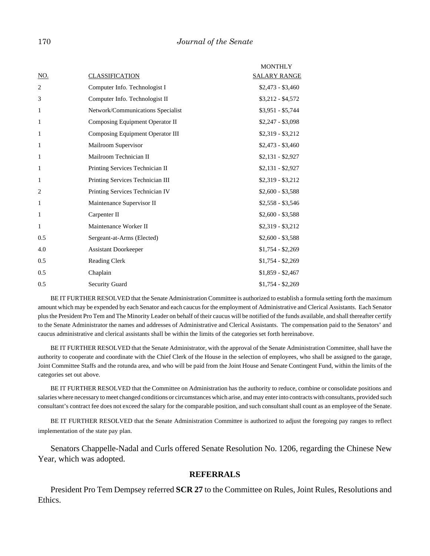|                |                                   | <b>MONTHLY</b>      |
|----------------|-----------------------------------|---------------------|
| <u>NO.</u>     | <b>CLASSIFICATION</b>             | <b>SALARY RANGE</b> |
| 2              | Computer Info. Technologist I     | $$2,473 - $3,460$   |
| 3              | Computer Info. Technologist II    | $$3,212 - $4,572$   |
| 1              | Network/Communications Specialist | $$3,951 - $5,744$   |
| 1              | Composing Equipment Operator II   | $$2,247 - $3,098$   |
| $\mathbf{1}$   | Composing Equipment Operator III  | $$2,319 - $3,212$   |
| 1              | Mailroom Supervisor               | $$2,473 - $3,460$   |
| 1              | Mailroom Technician II            | $$2,131 - $2,927$   |
| 1              | Printing Services Technician II   | $$2,131 - $2,927$   |
| 1              | Printing Services Technician III  | $$2,319 - $3,212$   |
| $\overline{2}$ | Printing Services Technician IV   | $$2,600 - $3,588$   |
| 1              | Maintenance Supervisor II         | $$2,558 - $3,546$   |
| 1              | Carpenter II                      | $$2,600 - $3,588$   |
| $\mathbf{1}$   | Maintenance Worker II             | $$2,319 - $3,212$   |
| 0.5            | Sergeant-at-Arms (Elected)        | $$2,600 - $3,588$   |
| 4.0            | <b>Assistant Doorkeeper</b>       | $$1,754 - $2,269$   |
| 0.5            | <b>Reading Clerk</b>              | $$1,754 - $2,269$   |
| 0.5            | Chaplain                          | $$1,859 - $2,467$   |
| 0.5            | <b>Security Guard</b>             | $$1,754 - $2,269$   |

BE IT FURTHER RESOLVED that the Senate Administration Committee is authorized to establish a formula setting forth the maximum amount which may be expended by each Senator and each caucus for the employment of Administrative and Clerical Assistants. Each Senator plus the President Pro Tem and The Minority Leader on behalf of their caucus will be notified of the funds available, and shall thereafter certify to the Senate Administrator the names and addresses of Administrative and Clerical Assistants. The compensation paid to the Senators' and caucus administrative and clerical assistants shall be within the limits of the categories set forth hereinabove.

BE IT FURTHER RESOLVED that the Senate Administrator, with the approval of the Senate Administration Committee, shall have the authority to cooperate and coordinate with the Chief Clerk of the House in the selection of employees, who shall be assigned to the garage, Joint Committee Staffs and the rotunda area, and who will be paid from the Joint House and Senate Contingent Fund, within the limits of the categories set out above.

BE IT FURTHER RESOLVED that the Committee on Administration has the authority to reduce, combine or consolidate positions and salaries where necessary to meet changed conditions or circumstances which arise, and may enter into contracts with consultants, provided such consultant's contract fee does not exceed the salary for the comparable position, and such consultant shall count as an employee of the Senate.

BE IT FURTHER RESOLVED that the Senate Administration Committee is authorized to adjust the foregoing pay ranges to reflect implementation of the state pay plan.

Senators Chappelle-Nadal and Curls offered Senate Resolution No. 1206, regarding the Chinese New Year, which was adopted.

#### **REFERRALS**

President Pro Tem Dempsey referred **SCR 27** to the Committee on Rules, Joint Rules, Resolutions and Ethics.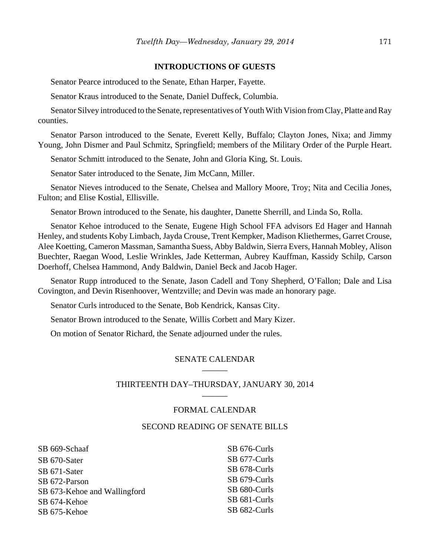## **INTRODUCTIONS OF GUESTS**

Senator Pearce introduced to the Senate, Ethan Harper, Fayette.

Senator Kraus introduced to the Senate, Daniel Duffeck, Columbia.

Senator Silvey introduced to the Senate, representatives of Youth With Vision from Clay, Platte and Ray counties.

Senator Parson introduced to the Senate, Everett Kelly, Buffalo; Clayton Jones, Nixa; and Jimmy Young, John Dismer and Paul Schmitz, Springfield; members of the Military Order of the Purple Heart.

Senator Schmitt introduced to the Senate, John and Gloria King, St. Louis.

Senator Sater introduced to the Senate, Jim McCann, Miller.

Senator Nieves introduced to the Senate, Chelsea and Mallory Moore, Troy; Nita and Cecilia Jones, Fulton; and Elise Kostial, Ellisville.

Senator Brown introduced to the Senate, his daughter, Danette Sherrill, and Linda So, Rolla.

Senator Kehoe introduced to the Senate, Eugene High School FFA advisors Ed Hager and Hannah Henley, and students Koby Limbach, Jayda Crouse, Trent Kempker, Madison Kliethermes, Garret Crouse, Alee Koetting, Cameron Massman, Samantha Suess, Abby Baldwin, Sierra Evers, Hannah Mobley, Alison Buechter, Raegan Wood, Leslie Wrinkles, Jade Ketterman, Aubrey Kauffman, Kassidy Schilp, Carson Doerhoff, Chelsea Hammond, Andy Baldwin, Daniel Beck and Jacob Hager.

Senator Rupp introduced to the Senate, Jason Cadell and Tony Shepherd, O'Fallon; Dale and Lisa Covington, and Devin Risenhoover, Wentzville; and Devin was made an honorary page.

Senator Curls introduced to the Senate, Bob Kendrick, Kansas City.

Senator Brown introduced to the Senate, Willis Corbett and Mary Kizer.

On motion of Senator Richard, the Senate adjourned under the rules.

## SENATE CALENDAR \_\_\_\_\_\_

## THIRTEENTH DAY–THURSDAY, JANUARY 30, 2014 \_\_\_\_\_\_

## FORMAL CALENDAR

#### SECOND READING OF SENATE BILLS

| SB 669-Schaaf                | SB 676-Curls |
|------------------------------|--------------|
| SB 670-Sater                 | SB 677-Curls |
| SB 671-Sater                 | SB 678-Curls |
| SB 672-Parson                | SB 679-Curls |
| SB 673-Kehoe and Wallingford | SB 680-Curls |
| SB 674-Kehoe                 | SB 681-Curls |
| SB 675-Kehoe                 | SB 682-Curls |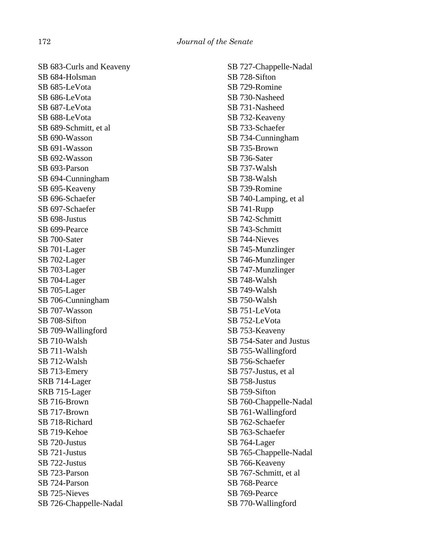SB 683-Curls and Keaveny SB 684-Holsman SB 685-LeVota SB 686-LeVota SB 687-LeVota SB 688-LeVota SB 689-Schmitt, et al SB 690-Wasson SB 691-Wasson SB 692-Wasson SB 693-Parson SB 694-Cunningham SB 695-Keaveny SB 696-Schaefer SB 697-Schaefer SB 698-Justus SB 699-Pearce SB 700-Sater SB 701-Lager SB 702-Lager SB 703-Lager SB 704-Lager SB 705-Lager SB 706-Cunningham SB 707-Wasson SB 708-Sifton SB 709-Wallingford SB 710-Walsh SB 711-Walsh SB 712-Walsh SB 713-Emery SRB 714-Lager SRB 715-Lager SB 716-Brown SB 717-Brown SB 718-Richard SB 719-Kehoe SB 720-Justus SB 721-Justus SB 722-Justus SB 723-Parson SB 724-Parson SB 725-Nieves SB 726-Chappelle-Nadal

SB 727-Chappelle-Nadal SB 728-Sifton SB 729-Romine SB 730-Nasheed SB 731-Nasheed SB 732-Keaveny SB 733-Schaefer SB 734-Cunningham SB 735-Brown SB 736-Sater SB 737-Walsh SB 738-Walsh SB 739-Romine SB 740-Lamping, et al SB 741-Rupp SB 742-Schmitt SB 743-Schmitt SB 744-Nieves SB 745-Munzlinger SB 746-Munzlinger SB 747-Munzlinger SB 748-Walsh SB 749-Walsh SB 750-Walsh SB 751-LeVota SB 752-LeVota SB 753-Keaveny SB 754-Sater and Justus SB 755-Wallingford SB 756-Schaefer SB 757-Justus, et al SB 758-Justus SB 759-Sifton SB 760-Chappelle-Nadal SB 761-Wallingford SB 762-Schaefer SB 763-Schaefer SB 764-Lager SB 765-Chappelle-Nadal SB 766-Keaveny SB 767-Schmitt, et al SB 768-Pearce SB 769-Pearce SB 770-Wallingford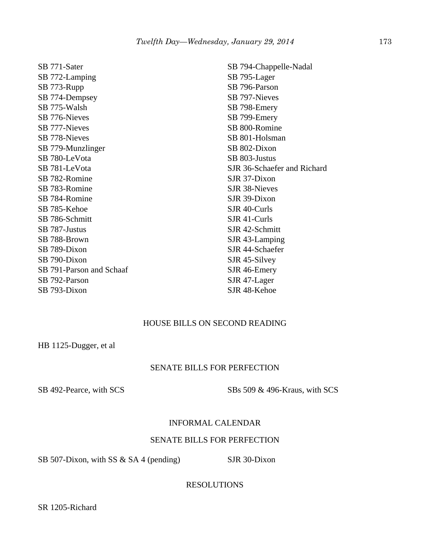SB 771-Sater SB 772-Lamping SB 773-Rupp SB 774-Dempsey SB 775-Walsh SB 776-Nieves SB 777-Nieves SB 778-Nieves SB 779-Munzlinger SB 780-LeVota SB 781-LeVota SB 782-Romine SB 783-Romine SB 784-Romine SB 785-Kehoe SB 786-Schmitt SB 787-Justus SB 788-Brown SB 789-Dixon SB 790-Dixon SB 791-Parson and Schaaf SB 792-Parson SB 793-Dixon

SB 794-Chappelle-Nadal SB 795-Lager SB 796-Parson SB 797-Nieves SB 798-Emery SB 799-Emery SB 800-Romine SB 801-Holsman SB 802-Dixon SB 803-Justus SJR 36-Schaefer and Richard SJR 37-Dixon SJR 38-Nieves SJR 39-Dixon SJR 40-Curls SJR 41-Curls SJR 42-Schmitt SJR 43-Lamping SJR 44-Schaefer SJR 45-Silvey SJR 46-Emery SJR 47-Lager SJR 48-Kehoe

# HOUSE BILLS ON SECOND READING

HB 1125-Dugger, et al

# SENATE BILLS FOR PERFECTION

SB 492-Pearce, with SCS SBs 509 & 496-Kraus, with SCS

## INFORMAL CALENDAR

# SENATE BILLS FOR PERFECTION

SB 507-Dixon, with SS  $&$  SA 4 (pending) SJR 30-Dixon

RESOLUTIONS